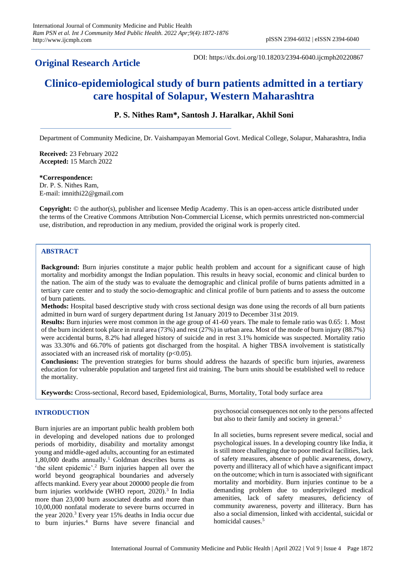## **Original Research Article**

DOI: https://dx.doi.org/10.18203/2394-6040.ijcmph20220867

# **Clinico-epidemiological study of burn patients admitted in a tertiary care hospital of Solapur, Western Maharashtra**

## **P. S. Nithes Ram\*, Santosh J. Haralkar, Akhil Soni**

Department of Community Medicine, Dr. Vaishampayan Memorial Govt. Medical College, Solapur, Maharashtra, India

**Received:** 23 February 2022 **Accepted:** 15 March 2022

## **\*Correspondence:**

Dr. P. S. Nithes Ram, E-mail: imnithi22@gmail.com

**Copyright:** © the author(s), publisher and licensee Medip Academy. This is an open-access article distributed under the terms of the Creative Commons Attribution Non-Commercial License, which permits unrestricted non-commercial use, distribution, and reproduction in any medium, provided the original work is properly cited.

## **ABSTRACT**

**Background:** Burn injuries constitute a major public health problem and account for a significant cause of high mortality and morbidity amongst the Indian population. This results in heavy social, economic and clinical burden to the nation. The aim of the study was to evaluate the demographic and clinical profile of burns patients admitted in a tertiary care center and to study the socio-demographic and clinical profile of burn patients and to assess the outcome of burn patients.

**Methods:** Hospital based descriptive study with cross sectional design was done using the records of all burn patients admitted in burn ward of surgery department during 1st January 2019 to December 31st 2019.

**Results:** Burn injuries were most common in the age group of 41-60 years. The male to female ratio was 0.65: 1. Most of the burn incident took place in rural area (73%) and rest (27%) in urban area. Most of the mode of burn injury (88.7%) were accidental burns, 8.2% had alleged history of suicide and in rest 3.1% homicide was suspected. Mortality ratio was 33.30% and 66.70% of patients got discharged from the hospital. A higher TBSA involvement is statistically associated with an increased risk of mortality  $(p<0.05)$ .

**Conclusions:** The prevention strategies for burns should address the hazards of specific burn injuries, awareness education for vulnerable population and targeted first aid training. The burn units should be established well to reduce the mortality.

**Keywords:** Cross-sectional, Record based, Epidemiological, Burns, Mortality, Total body surface area

## **INTRODUCTION**

Burn injuries are an important public health problem both in developing and developed nations due to prolonged periods of morbidity, disability and mortality amongst young and middle-aged adults, accounting for an estimated  $1,80,000$  deaths annually.<sup>1</sup> Goldman describes burns as 'the silent epidemic'.<sup>2</sup> Burn injuries happen all over the world beyond geographical boundaries and adversely affects mankind. Every year about 200000 people die from burn injuries worldwide (WHO report, 2020).<sup>3</sup> In India more than 23,000 burn associated deaths and more than 10,00,000 nonfatal moderate to severe burns occurred in the year 2020.<sup>3</sup> Every year 15% deaths in India occur due to burn injuries.<sup>4</sup> Burns have severe financial and

psychosocial consequences not only to the persons affected but also to their family and society in general.<sup>5</sup>

In all societies, burns represent severe medical, social and psychological issues. In a developing country like India, it is still more challenging due to poor medical facilities, lack of safety measures, absence of public awareness, dowry, poverty and illiteracy all of which have a significant impact on the outcome; which in turn is associated with significant mortality and morbidity. Burn injuries continue to be a demanding problem due to underprivileged medical amenities, lack of safety measures, deficiency of community awareness, poverty and illiteracy. Burn has also a social dimension, linked with accidental, suicidal or homicidal causes.<sup>5</sup>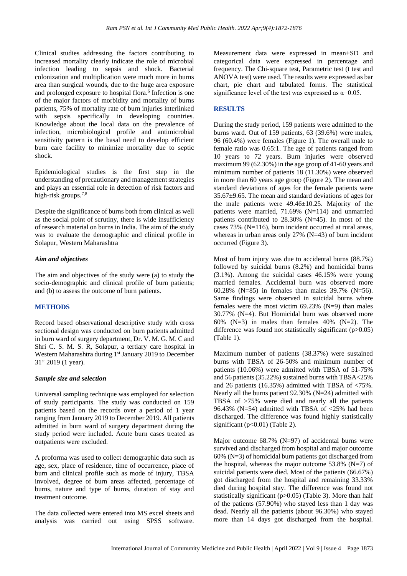Clinical studies addressing the factors contributing to increased mortality clearly indicate the role of microbial infection leading to sepsis and shock. Bacterial colonization and multiplication were much more in burns area than surgical wounds, due to the huge area exposure and prolonged exposure to hospital flora.<sup>6</sup> Infection is one of the major factors of morbidity and mortality of burns patients, 75% of mortality rate of burn injuries interlinked with sepsis specifically in developing countries. Knowledge about the local data on the prevalence of infection, microbiological profile and antimicrobial sensitivity pattern is the basal need to develop efficient burn care facility to minimize mortality due to septic shock.

Epidemiological studies is the first step in the understanding of precautionary and management strategies and plays an essential role in detection of risk factors and high-risk groups.<sup>7,8</sup>

Despite the significance of burns both from clinical as well as the social point of scrutiny, there is wide insufficiency of research material on burns in India. The aim of the study was to evaluate the demographic and clinical profile in Solapur, Western Maharashtra

#### *Aim and objectives*

The aim and objectives of the study were (a) to study the socio-demographic and clinical profile of burn patients; and (b) to assess the outcome of burn patients.

## **METHODS**

Record based observational descriptive study with cross sectional design was conducted on burn patients admitted in burn ward of surgery department, Dr. V. M. G. M. C and Shri C. S. M. S. R, Solapur, a tertiary care hospital in Western Maharashtra during 1<sup>st</sup> January 2019 to December 31st 2019 (1 year).

#### *Sample size and selection*

Universal sampling technique was employed for selection of study participants. The study was conducted on 159 patients based on the records over a period of 1 year ranging from January 2019 to December 2019. All patients admitted in burn ward of surgery department during the study period were included. Acute burn cases treated as outpatients were excluded.

A proforma was used to collect demographic data such as age, sex, place of residence, time of occurrence, place of burn and clinical profile such as mode of injury, TBSA involved, degree of burn areas affected, percentage of burns, nature and type of burns, duration of stay and treatment outcome.

The data collected were entered into MS excel sheets and analysis was carried out using SPSS software.

Measurement data were expressed in mean±SD and categorical data were expressed in percentage and frequency. The Chi-square test, Parametric test (t test and ANOVA test) were used. The results were expressed as bar chart, pie chart and tabulated forms. The statistical significance level of the test was expressed as  $\alpha$ =0.05.

## **RESULTS**

During the study period, 159 patients were admitted to the burns ward. Out of 159 patients, 63 (39.6%) were males, 96 (60.4%) were females (Figure 1). The overall male to female ratio was 0.65:1. The age of patients ranged from 10 years to 72 years. Burn injuries were observed maximum 99 (62.30%) in the age group of 41-60 years and minimum number of patients 18 (11.30%) were observed in more than 60 years age group (Figure 2). The mean and standard deviations of ages for the female patients were 35.67±9.65. The mean and standard deviations of ages for the male patients were 49.46±10.25. Majority of the patients were married, 71.69% (N=114) and unmarried patients contributed to 28.30% (N=45). In most of the cases 73% (N=116), burn incident occurred at rural areas, whereas in urban areas only 27% (N=43) of burn incident occurred (Figure 3).

Most of burn injury was due to accidental burns (88.7%) followed by suicidal burns (8.2%) and homicidal burns (3.1%). Among the suicidal cases 46.15% were young married females. Accidental burn was observed more 60.28% (N=85) in females than males 39.7% (N=56). Same findings were observed in suicidal burns where females were the most victim  $69.23\%$  (N=9) than males 30.77% (N=4). But Homicidal burn was observed more 60% (N=3) in males than females 40% (N=2). The difference was found not statistically significant (p>0.05) (Table 1).

Maximum number of patients (38.37%) were sustained burns with TBSA of 26-50% and minimum number of patients (10.06%) were admitted with TBSA of 51-75% and 56 patients (35.22%) sustained burns with TBSA<25% and 26 patients (16.35%) admitted with TBSA of  $\langle 75\% \rangle$ . Nearly all the burns patient 92.30% (N=24) admitted with TBSA of >75% were died and nearly all the patients 96.43% (N=54) admitted with TBSA of  $\langle 25\%$  had been discharged. The difference was found highly statistically significant (p<0.01) (Table 2).

Major outcome  $68.7\%$  (N=97) of accidental burns were survived and discharged from hospital and major outcome 60% (N=3) of homicidal burn patients got discharged from the hospital, whereas the major outcome  $53.8\%$  (N=7) of suicidal patients were died. Most of the patients (66.67%) got discharged from the hospital and remaining 33.33% died during hospital stay. The difference was found not statistically significant (p>0.05) (Table 3). More than half of the patients (57.90%) who stayed less than 1 day was dead. Nearly all the patients (about 96.30%) who stayed more than 14 days got discharged from the hospital.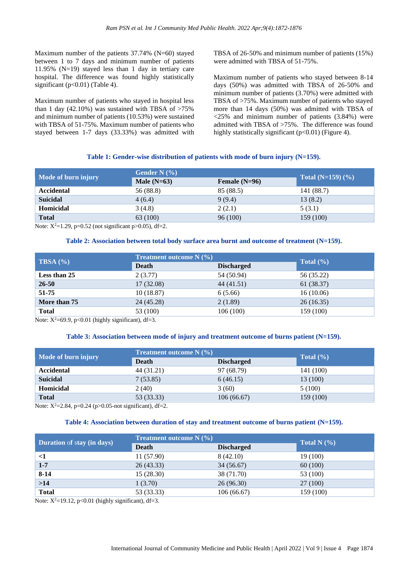Maximum number of the patients 37.74% (N=60) stayed between 1 to 7 days and minimum number of patients 11.95% (N=19) stayed less than 1 day in tertiary care hospital. The difference was found highly statistically significant ( $p<0.01$ ) (Table 4).

Maximum number of patients who stayed in hospital less than 1 day (42.10%) was sustained with TBSA of  $>75\%$ and minimum number of patients (10.53%) were sustained with TBSA of 51-75%. Maximum number of patients who stayed between 1-7 days (33.33%) was admitted with TBSA of 26-50% and minimum number of patients (15%) were admitted with TBSA of 51-75%.

Maximum number of patients who stayed between 8-14 days (50%) was admitted with TBSA of 26-50% and minimum number of patients (3.70%) were admitted with TBSA of >75%. Maximum number of patients who stayed more than 14 days (50%) was admitted with TBSA of  $\langle 25\%$  and minimum number of patients  $(3.84\%)$  were admitted with TBSA of >75%. The difference was found highly statistically significant  $(p<0.01)$  (Figure 4).

## **Table 1: Gender-wise distribution of patients with mode of burn injury (N=159).**

| Mode of burn injury | Gender N $(\% )$ |                 | Total $(N=159)$ $(\% )$ |
|---------------------|------------------|-----------------|-------------------------|
|                     | Male $(N=63)$    | Female $(N=96)$ |                         |
| Accidental          | 56 (88.8)        | 85 (88.5)       | 141 (88.7)              |
| <b>Suicidal</b>     | 4(6.4)           | 9(9.4)          | 13(8.2)                 |
| Homicidal           | 3(4.8)           | 2(2.1)          | 5(3.1)                  |
| <b>Total</b>        | 63 (100)         | 96(100)         | 159 (100)               |
|                     |                  |                 |                         |

Note:  $X^2 = 1.29$ , p=0.52 (not significant p>0.05), df=2.

## **Table 2: Association between total body surface area burnt and outcome of treatment (N=159).**

| <b>TBSA</b> $(\% )$ | <b>Treatment outcome N</b> $(\%)$ |                   |               |
|---------------------|-----------------------------------|-------------------|---------------|
|                     | <b>Death</b>                      | <b>Discharged</b> | Total $(\% )$ |
| Less than 25        | 2(3.77)                           | 54 (50.94)        | 56 (35.22)    |
| $26 - 50$           | 17(32.08)                         | 44 (41.51)        | 61 (38.37)    |
| 51-75               | 10(18.87)                         | 6(5.66)           | 16(10.06)     |
| More than 75        | 24 (45.28)                        | 2(1.89)           | 26(16.35)     |
| <b>Total</b>        | 53 (100)                          | 106 (100)         | 159 (100)     |

Note:  $X^2=69.9$ , p<0.01 (highly significant), df=3.

## **Table 3: Association between mode of injury and treatment outcome of burns patient (N=159).**

| Mode of burn injury | <b>Treatment outcome N</b> $(\%)$ |                   | Total $(\% )$ |
|---------------------|-----------------------------------|-------------------|---------------|
|                     | Death                             | <b>Discharged</b> |               |
| Accidental          | 44 (31.21)                        | 97 (68.79)        | 141 (100)     |
| <b>Suicidal</b>     | 7(53.85)                          | 6(46.15)          | 13 (100)      |
| Homicidal           | 2(40)                             | 3(60)             | 5(100)        |
| <b>Total</b>        | 53 (33.33)                        | 106(66.67)        | 159 (100)     |

Note:  $X^2 = 2.84$ , p=0.24 (p>0.05-not significant), df=2.

## **Table 4: Association between duration of stay and treatment outcome of burns patient (N=159).**

| <b>Duration of stay (in days)</b> | <b>Treatment outcome N</b> $(\%)$ |                   |                 |
|-----------------------------------|-----------------------------------|-------------------|-----------------|
|                                   | <b>Death</b>                      | <b>Discharged</b> | Total N $(\% )$ |
| $\leq$ 1                          | 11 (57.90)                        | 8 (42.10)         | 19 (100)        |
| $1 - 7$                           | 26(43.33)                         | 34(56.67)         | 60(100)         |
| $8 - 14$                          | 15(28.30)                         | 38 (71.70)        | 53 (100)        |
| $>14$                             | 1(3.70)                           | 26(96.30)         | 27 (100)        |
| <b>Total</b>                      | 53 (33.33)                        | 106(66.67)        | 159 (100)       |

Note:  $X^2=19.12$ , p<0.01 (highly significant), df=3.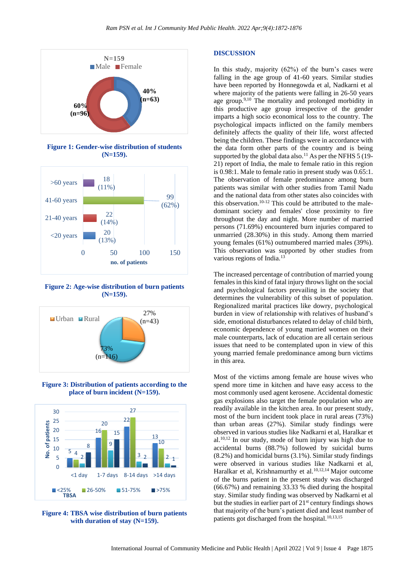

**Figure 1: Gender-wise distribution of students (N=159).**



**Figure 2: Age-wise distribution of burn patients (N=159).**



**Figure 3: Distribution of patients according to the place of burn incident (N=159).**



**Figure 4: TBSA wise distribution of burn patients with duration of stay (N=159).**

#### **DISCUSSION**

In this study, majority (62%) of the burn's cases were falling in the age group of 41-60 years. Similar studies have been reported by Honnegowda et al, Nadkarni et al where majority of the patients were falling in 26-50 years age group.<sup>9,10</sup> The mortality and prolonged morbidity in this productive age group irrespective of the gender imparts a high socio economical loss to the country. The psychological impacts inflicted on the family members definitely affects the quality of their life, worst affected being the children. These findings were in accordance with the data form other parts of the country and is being supported by the global data also.<sup>11</sup> As per the NFHS  $5(19-$ 21) report of India, the male to female ratio in this region is 0.98:1. Male to female ratio in present study was 0.65:1. The observation of female predominance among burn patients was similar with other studies from Tamil Nadu and the national data from other states also coincides with this observation.<sup>10-12</sup> This could be attributed to the maledominant society and females' close proximity to fire throughout the day and night. More number of married persons (71.69%) encountered burn injuries compared to unmarried (28.30%) in this study. Among them married young females (61%) outnumbered married males (39%). This observation was supported by other studies from various regions of India.<sup>13</sup>

The increased percentage of contribution of married young females in this kind of fatal injury throws light on the social and psychological factors prevailing in the society that determines the vulnerability of this subset of population. Regionalized marital practices like dowry, psychological burden in view of relationship with relatives of husband's side, emotional disturbances related to delay of child birth, economic dependence of young married women on their male counterparts, lack of education are all certain serious issues that need to be contemplated upon in view of this young married female predominance among burn victims in this area.

Most of the victims among female are house wives who spend more time in kitchen and have easy access to the most commonly used agent kerosene. Accidental domestic gas explosions also target the female population who are readily available in the kitchen area. In our present study, most of the burn incident took place in rural areas (73%) than urban areas (27%). Similar study findings were observed in various studies like Nadkarni et al, Haralkar et  $al.$ <sup>10,12</sup> In our study, mode of burn injury was high due to accidental burns (88.7%) followed by suicidal burns (8.2%) and homicidal burns (3.1%). Similar study findings were observed in various studies like Nadkarni et al, Haralkar et al, Krishnamurthy et al.<sup>10,12,14</sup> Major outcome of the burns patient in the present study was discharged (66.67%) and remaining 33.33 % died during the hospital stay. Similar study finding was observed by Nadkarni et al but the studies in earlier part of  $21<sup>st</sup>$  century findings shows that majority of the burn's patient died and least number of patients got discharged from the hospital.<sup>10,13,15</sup>